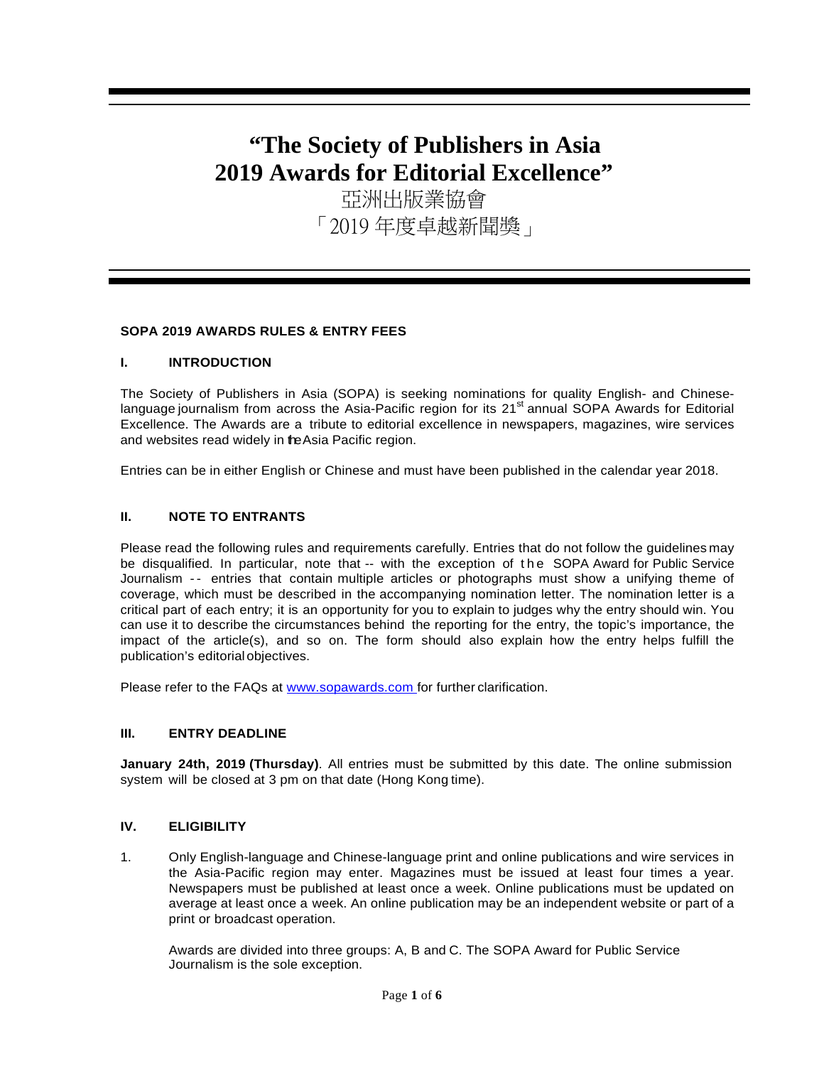# **"The Society of Publishers in Asia 2019 Awards for Editorial Excellence"**

亞洲出版業協會 「2019 年度卓越新聞獎」

# **SOPA 2019 AWARDS RULES & ENTRY FEES**

# **I. INTRODUCTION**

The Society of Publishers in Asia (SOPA) is seeking nominations for quality English- and Chineselanguage journalism from across the Asia-Pacific region for its 21<sup>st</sup> annual SOPA Awards for Editorial Excellence. The Awards are a tribute to editorial excellence in newspapers, magazines, wire services and websites read widely in the Asia Pacific region.

Entries can be in either English or Chinese and must have been published in the calendar year 2018.

# **II. NOTE TO ENTRANTS**

Please read the following rules and requirements carefully. Entries that do not follow the guidelines may be disqualified. In particular, note that -- with the exception of the SOPA Award for Public Service Journalism -- entries that contain multiple articles or photographs must show a unifying theme of coverage, which must be described in the accompanying nomination letter. The nomination letter is a critical part of each entry; it is an opportunity for you to explain to judges why the entry should win. You can use it to describe the circumstances behind the reporting for the entry, the topic's importance, the impact of the article(s), and so on. The form should also explain how the entry helps fulfill the publication's editorialobjectives.

Please refer to the FAQs at [www.sopawards.com f](http://www.sopawards.com/)or further clarification.

# **III. ENTRY DEADLINE**

**January 24th, 2019 (Thursday)**. All entries must be submitted by this date. The online submission system will be closed at 3 pm on that date (Hong Kong time).

# **IV. ELIGIBILITY**

1. Only English-language and Chinese-language print and online publications and wire services in the Asia-Pacific region may enter. Magazines must be issued at least four times a year. Newspapers must be published at least once a week. Online publications must be updated on average at least once a week. An online publication may be an independent website or part of a print or broadcast operation.

Awards are divided into three groups: A, B and C. The SOPA Award for Public Service Journalism is the sole exception.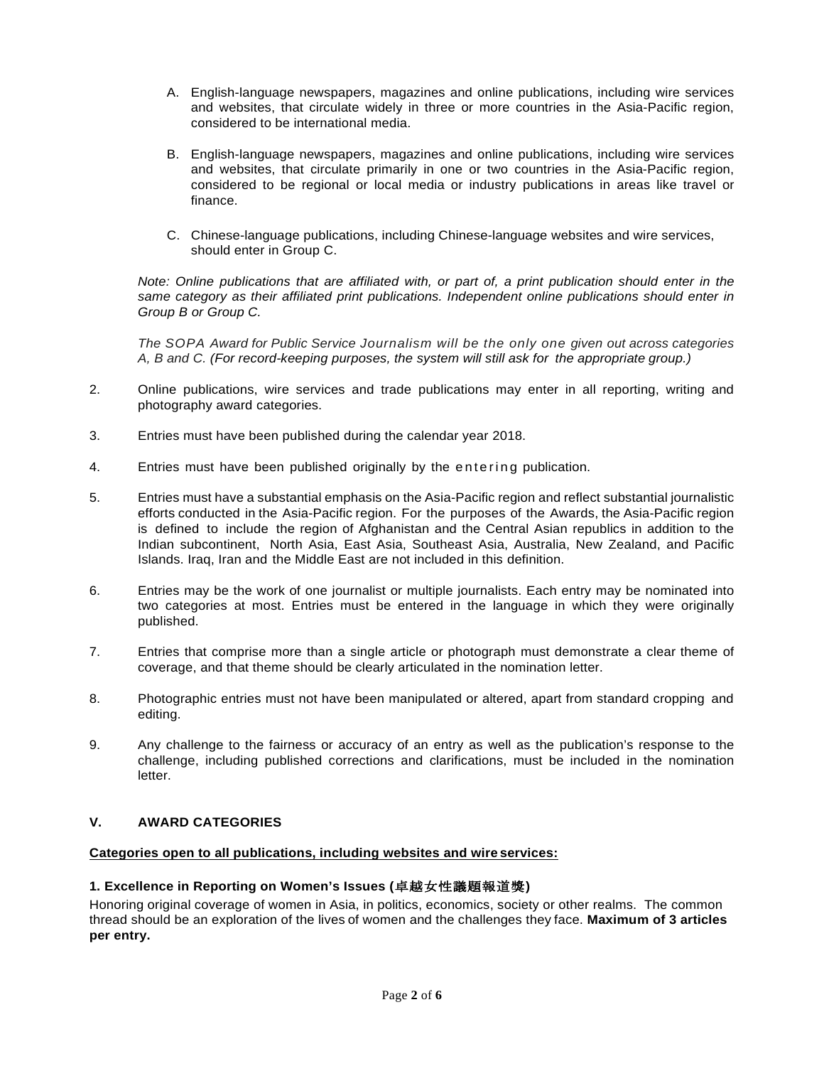- A. English-language newspapers, magazines and online publications, including wire services and websites, that circulate widely in three or more countries in the Asia-Pacific region, considered to be international media.
- B. English-language newspapers, magazines and online publications, including wire services and websites, that circulate primarily in one or two countries in the Asia-Pacific region, considered to be regional or local media or industry publications in areas like travel or finance.
- C. Chinese-language publications, including Chinese-language websites and wire services, should enter in Group C.

*Note: Online publications that are affiliated with, or part of, a print publication should enter in the* same category as their affiliated print publications. Independent online publications should enter in *Group B or Group C.*

*The SOPA Award for Public Service Journalism will be the only one given out across categories A, B and C. (For record-keeping purposes, the system will still ask for the appropriate group.)*

- 2. Online publications, wire services and trade publications may enter in all reporting, writing and photography award categories.
- 3. Entries must have been published during the calendar year 2018.
- 4. Entries must have been published originally by the entering publication.
- 5. Entries must have a substantial emphasis on the Asia-Pacific region and reflect substantial journalistic efforts conducted in the Asia-Pacific region. For the purposes of the Awards, the Asia-Pacific region is defined to include the region of Afghanistan and the Central Asian republics in addition to the Indian subcontinent, North Asia, East Asia, Southeast Asia, Australia, New Zealand, and Pacific Islands. Iraq, Iran and the Middle East are not included in this definition.
- 6. Entries may be the work of one journalist or multiple journalists. Each entry may be nominated into two categories at most. Entries must be entered in the language in which they were originally published.
- 7. Entries that comprise more than a single article or photograph must demonstrate a clear theme of coverage, and that theme should be clearly articulated in the nomination letter.
- 8. Photographic entries must not have been manipulated or altered, apart from standard cropping and editing.
- 9. Any challenge to the fairness or accuracy of an entry as well as the publication's response to the challenge, including published corrections and clarifications, must be included in the nomination letter.

# **V. AWARD CATEGORIES**

# **Categories open to all publications, including websites and wire services:**

# **1. Excellence in Reporting on Women's Issues (**卓越女性議題報道獎**)**

Honoring original coverage of women in Asia, in politics, economics, society or other realms. The common thread should be an exploration of the lives of women and the challenges they face. **Maximum of 3 articles per entry.**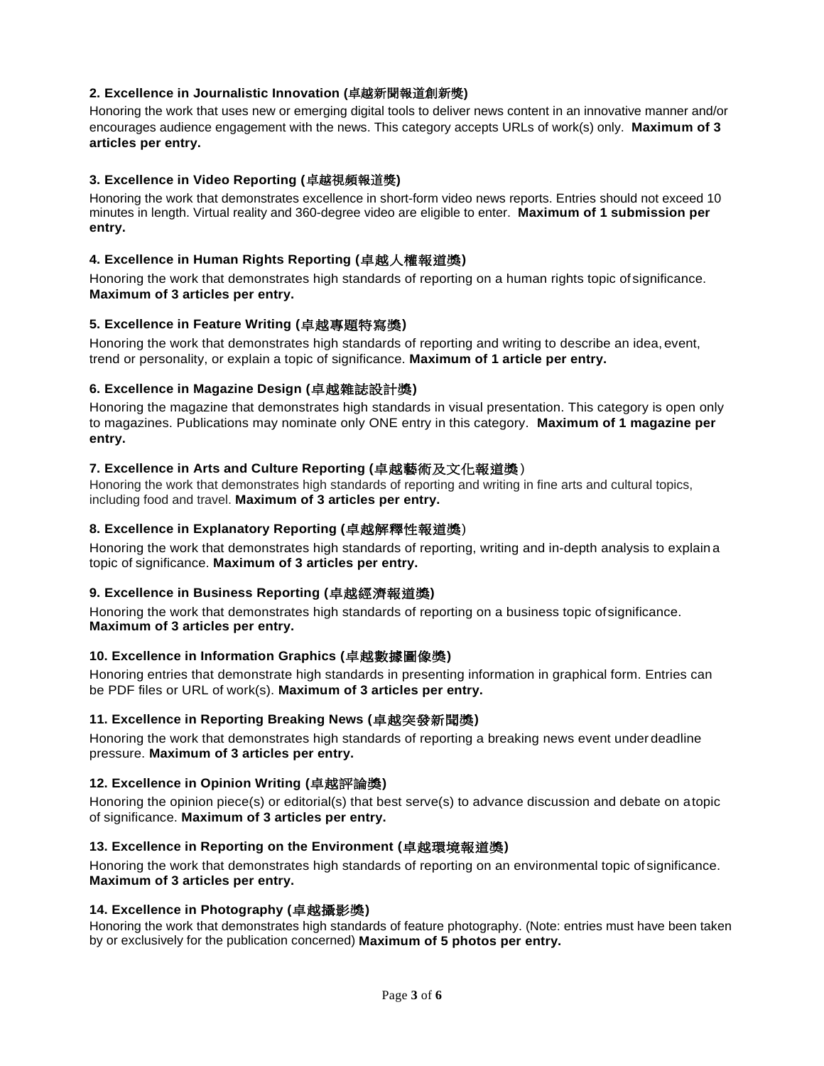# **2. Excellence in Journalistic Innovation (**卓越新聞報道創新獎**)**

Honoring the work that uses new or emerging digital tools to deliver news content in an innovative manner and/or encourages audience engagement with the news. This category accepts URLs of work(s) only. **Maximum of 3 articles per entry.**

# **3. Excellence in Video Reporting (**卓越視頻報道獎**)**

Honoring the work that demonstrates excellence in short-form video news reports. Entries should not exceed 10 minutes in length. Virtual reality and 360-degree video are eligible to enter. **Maximum of 1 submission per entry.**

# **4. Excellence in Human Rights Reporting (**卓越人權報道獎**)**

Honoring the work that demonstrates high standards of reporting on a human rights topic of significance. **Maximum of 3 articles per entry.**

# **5. Excellence in Feature Writing (**卓越專題特寫獎**)**

Honoring the work that demonstrates high standards of reporting and writing to describe an idea, event, trend or personality, or explain a topic of significance. **Maximum of 1 article per entry.**

# **6. Excellence in Magazine Design (**卓越雜誌設計獎**)**

Honoring the magazine that demonstrates high standards in visual presentation. This category is open only to magazines. Publications may nominate only ONE entry in this category. **Maximum of 1 magazine per entry.**

# **7. Excellence in Arts and Culture Reporting (**卓越藝術及文化報道獎 )

Honoring the work that demonstrates high standards of reporting and writing in fine arts and cultural topics, including food and travel. **Maximum of 3 articles per entry.**

# **8. Excellence in Explanatory Reporting (**卓越解釋性報道獎)

Honoring the work that demonstrates high standards of reporting, writing and in-depth analysis to explain a topic of significance. **Maximum of 3 articles per entry.**

# **9. Excellence in Business Reporting (**卓越經濟報道獎**)**

Honoring the work that demonstrates high standards of reporting on a business topic ofsignificance. **Maximum of 3 articles per entry.**

# **10. Excellence in Information Graphics (**卓越數據圖像獎**)**

Honoring entries that demonstrate high standards in presenting information in graphical form. Entries can be PDF files or URL of work(s). **Maximum of 3 articles per entry.**

# **11. Excellence in Reporting Breaking News (**卓越突發新聞獎**)**

Honoring the work that demonstrates high standards of reporting a breaking news event under deadline pressure. **Maximum of 3 articles per entry.**

# **12. Excellence in Opinion Writing (**卓越評論獎**)**

Honoring the opinion piece(s) or editorial(s) that best serve(s) to advance discussion and debate on atopic of significance. **Maximum of 3 articles per entry.**

# **13. Excellence in Reporting on the Environment (**卓越環境報道獎**)**

Honoring the work that demonstrates high standards of reporting on an environmental topic of significance. **Maximum of 3 articles per entry.**

# **14. Excellence in Photography (**卓越攝影獎**)**

Honoring the work that demonstrates high standards of feature photography. (Note: entries must have been taken by or exclusively for the publication concerned) **Maximum of 5 photos per entry.**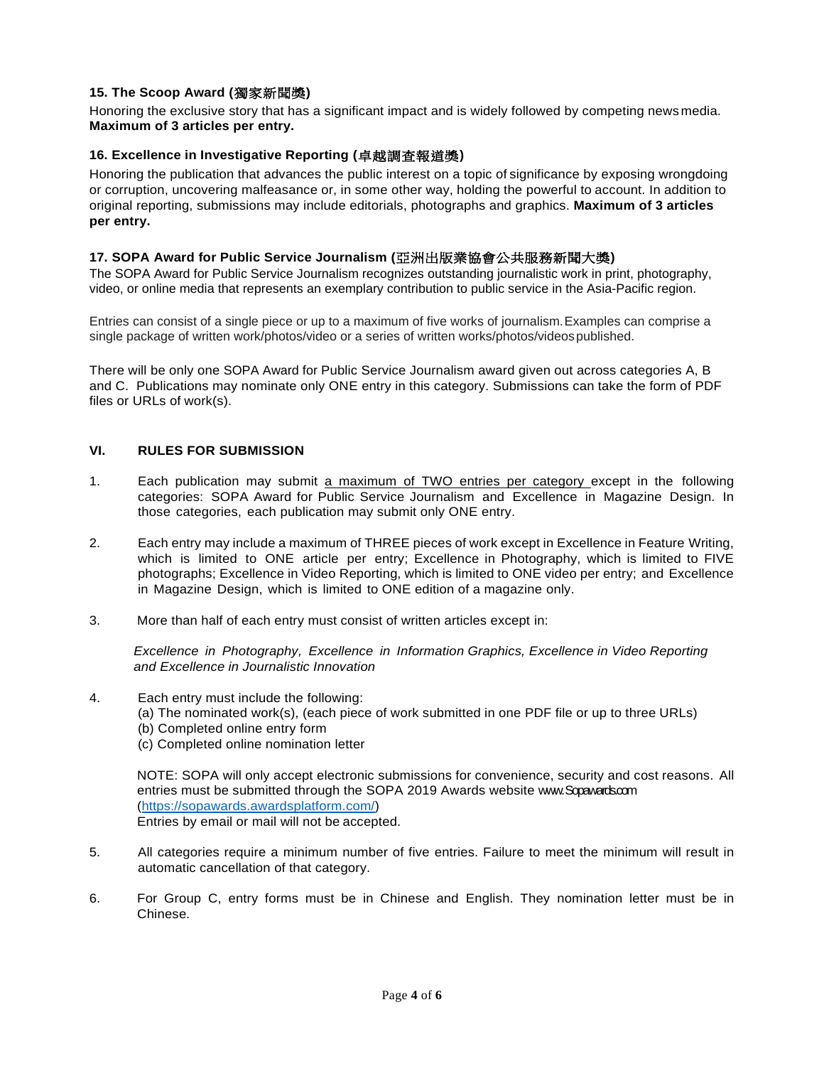# **15. The Scoop Award (**獨家新聞獎**)**

Honoring the exclusive story that has a significant impact and is widely followed by competing news media. **Maximum of 3 articles per entry.**

# **16. Excellence in Investigative Reporting (**卓越調查報道獎**)**

Honoring the publication that advances the public interest on a topic of significance by exposing wrongdoing or corruption, uncovering malfeasance or, in some other way, holding the powerful to account. In addition to original reporting, submissions may include editorials, photographs and graphics. **Maximum of 3 articles per entry.**

# **17. SOPA Award for Public Service Journalism (**亞洲出版業協會公共服務新聞大獎**)**

The SOPA Award for Public Service Journalism recognizes outstanding journalistic work in print, photography, video, or online media that represents an exemplary contribution to public service in the Asia-Pacific region.

Entries can consist of a single piece or up to a maximum of five works of journalism.Examples can comprise a single package of written work/photos/video or a series of written works/photos/videospublished.

There will be only one SOPA Award for Public Service Journalism award given out across categories A, B and C. Publications may nominate only ONE entry in this category. Submissions can take the form of PDF files or URLs of work(s).

# **VI. RULES FOR SUBMISSION**

- 1. Each publication may submit a maximum of TWO entries per category except in the following categories: SOPA Award for Public Service Journalism and Excellence in Magazine Design. In those categories, each publication may submit only ONE entry.
- 2. Each entry may include a maximum of THREE pieces of work except in Excellence in Feature Writing, which is limited to ONE article per entry; Excellence in Photography, which is limited to FIVE photographs; Excellence in Video Reporting, which is limited to ONE video per entry; and Excellence in Magazine Design, which is limited to ONE edition of a magazine only.
- 3. More than half of each entry must consist of written articles except in:

*Excellence in Photography, Excellence in Information Graphics, Excellence in Video Reporting and Excellence in Journalistic Innovation*

- 4. Each entry must include the following:
	- (a) The nominated work(s), (each piece of work submitted in one PDF file or up to three URLs)
	- (b) Completed online entry form
	- (c) Completed online nomination letter

NOTE: SOPA will only accept electronic submissions for convenience, security and cost reasons. All entries must be submitted through the SOPA 2019 Awards website www.Sopawards.com [\(https://sopawards.awardsplatform.com/\)](https://sopawards.awardsplatform.com/) Entries by email or mail will not be accepted.

- 5. All categories require a minimum number of five entries. Failure to meet the minimum will result in automatic cancellation of that category.
- 6. For Group C, entry forms must be in Chinese and English. They nomination letter must be in Chinese.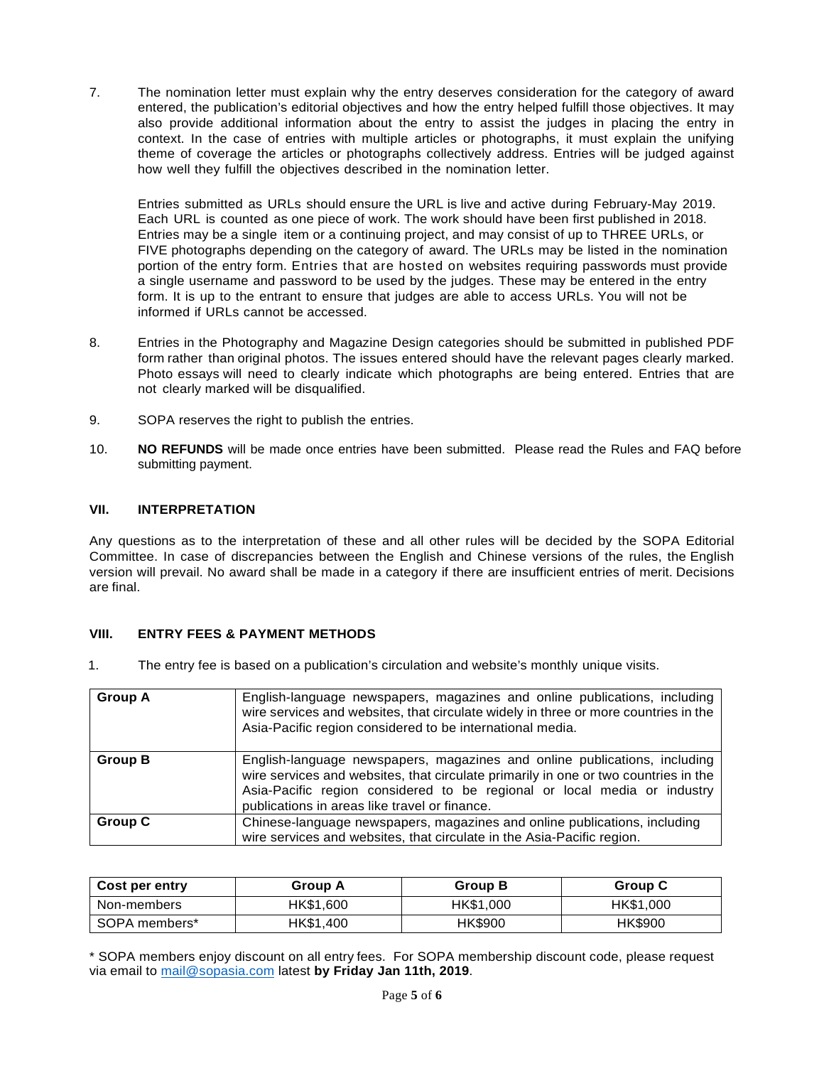7. The nomination letter must explain why the entry deserves consideration for the category of award entered, the publication's editorial objectives and how the entry helped fulfill those objectives. It may also provide additional information about the entry to assist the judges in placing the entry in context. In the case of entries with multiple articles or photographs, it must explain the unifying theme of coverage the articles or photographs collectively address. Entries will be judged against how well they fulfill the objectives described in the nomination letter.

Entries submitted as URLs should ensure the URL is live and active during February-May 2019. Each URL is counted as one piece of work. The work should have been first published in 2018. Entries may be a single item or a continuing project, and may consist of up to THREE URLs, or FIVE photographs depending on the category of award. The URLs may be listed in the nomination portion of the entry form. Entries that are hosted on websites requiring passwords must provide a single username and password to be used by the judges. These may be entered in the entry form. It is up to the entrant to ensure that judges are able to access URLs. You will not be informed if URLs cannot be accessed.

- 8. Entries in the Photography and Magazine Design categories should be submitted in published PDF form rather than original photos. The issues entered should have the relevant pages clearly marked. Photo essays will need to clearly indicate which photographs are being entered. Entries that are not clearly marked will be disqualified.
- 9. SOPA reserves the right to publish the entries.
- 10. **NO REFUNDS** will be made once entries have been submitted. Please read the Rules and FAQ before submitting payment.

# **VII. INTERPRETATION**

Any questions as to the interpretation of these and all other rules will be decided by the SOPA Editorial Committee. In case of discrepancies between the English and Chinese versions of the rules, the English version will prevail. No award shall be made in a category if there are insufficient entries of merit. Decisions are final.

# **VIII. ENTRY FEES & PAYMENT METHODS**

1. The entry fee is based on a publication's circulation and website's monthly unique visits.

| <b>Group A</b> | English-language newspapers, magazines and online publications, including<br>wire services and websites, that circulate widely in three or more countries in the<br>Asia-Pacific region considered to be international media.                                                                 |
|----------------|-----------------------------------------------------------------------------------------------------------------------------------------------------------------------------------------------------------------------------------------------------------------------------------------------|
| <b>Group B</b> | English-language newspapers, magazines and online publications, including<br>wire services and websites, that circulate primarily in one or two countries in the<br>Asia-Pacific region considered to be regional or local media or industry<br>publications in areas like travel or finance. |
| <b>Group C</b> | Chinese-language newspapers, magazines and online publications, including<br>wire services and websites, that circulate in the Asia-Pacific region.                                                                                                                                           |

| Cost per entry | Group A   | Group B   | Group C   |
|----------------|-----------|-----------|-----------|
| Non-members    | HK\$1.600 | HK\$1,000 | HK\$1,000 |
| SOPA members*  | HK\$1.400 | HK\$900   | HK\$900   |

\* SOPA members enjoy discount on all entry fees. For SOPA membership discount code, please request via email to [mail@sopasia.com](mailto:mail@sopasia.com) latest **by Friday Jan 11th, 2019**.